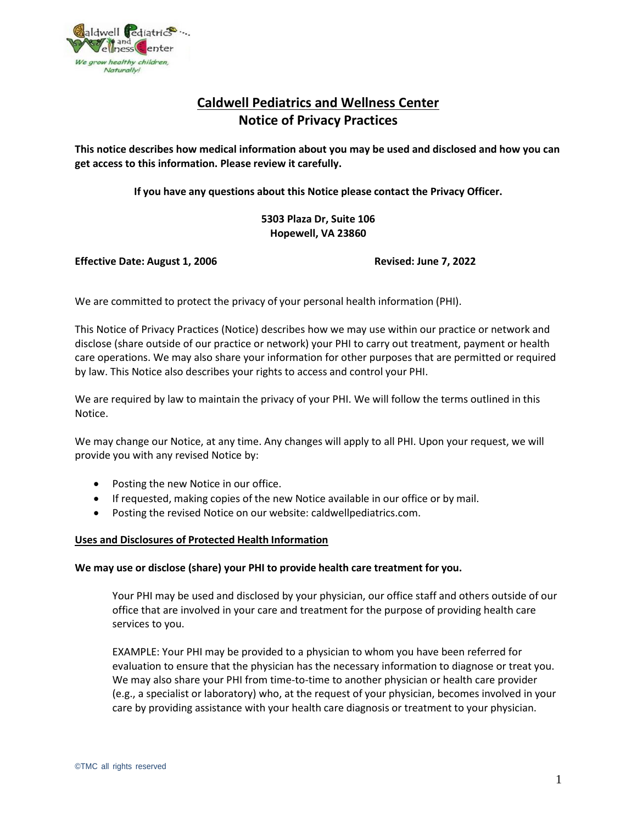

# **Caldwell Pediatrics and Wellness Center Notice of Privacy Practices**

**This notice describes how medical information about you may be used and disclosed and how you can get access to this information. Please review it carefully.**

**If you have any questions about this Notice please contact the Privacy Officer.**

**5303 Plaza Dr, Suite 106 Hopewell, VA 23860**

**Effective Date: August 1, 2006 Revised: June 7, 2022**

We are committed to protect the privacy of your personal health information (PHI).

This Notice of Privacy Practices (Notice) describes how we may use within our practice or network and disclose (share outside of our practice or network) your PHI to carry out treatment, payment or health care operations. We may also share your information for other purposes that are permitted or required by law. This Notice also describes your rights to access and control your PHI.

We are required by law to maintain the privacy of your PHI. We will follow the terms outlined in this Notice.

We may change our Notice, at any time. Any changes will apply to all PHI. Upon your request, we will provide you with any revised Notice by:

- Posting the new Notice in our office.
- If requested, making copies of the new Notice available in our office or by mail.
- Posting the revised Notice on our website: caldwellpediatrics.com.

### **Uses and Disclosures of Protected Health Information**

### **We may use or disclose (share) your PHI to provide health care treatment for you.**

Your PHI may be used and disclosed by your physician, our office staff and others outside of our office that are involved in your care and treatment for the purpose of providing health care services to you.

EXAMPLE: Your PHI may be provided to a physician to whom you have been referred for evaluation to ensure that the physician has the necessary information to diagnose or treat you. We may also share your PHI from time-to-time to another physician or health care provider (e.g., a specialist or laboratory) who, at the request of your physician, becomes involved in your care by providing assistance with your health care diagnosis or treatment to your physician.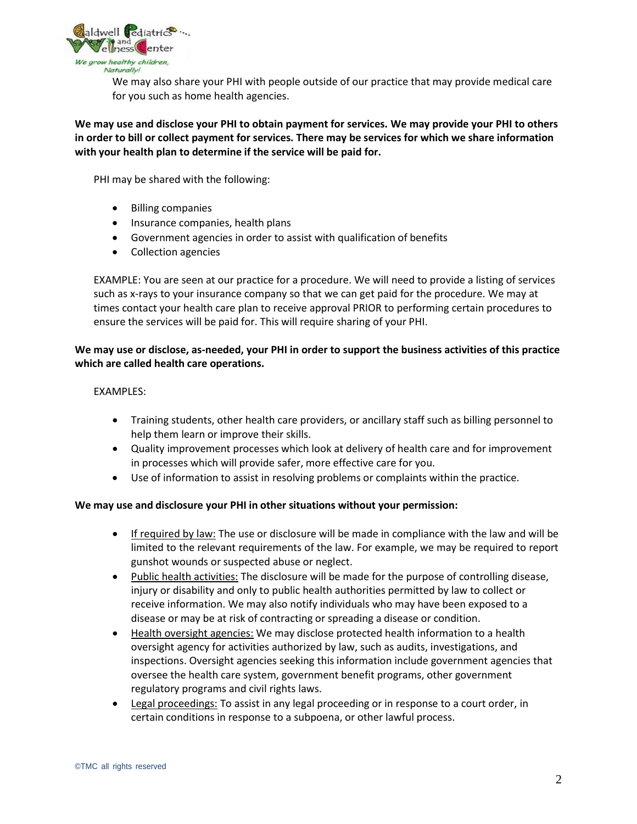

We may also share your PHI with people outside of our practice that may provide medical care for you such as home health agencies.

# **We may use and disclose your PHI to obtain payment for services. We may provide your PHI to others in order to bill or collect payment for services. There may be services for which we share information with your health plan to determine if the service will be paid for.**

PHI may be shared with the following:

- Billing companies
- Insurance companies, health plans
- Government agencies in order to assist with qualification of benefits
- Collection agencies

EXAMPLE: You are seen at our practice for a procedure. We will need to provide a listing of services such as x-rays to your insurance company so that we can get paid for the procedure. We may at times contact your health care plan to receive approval PRIOR to performing certain procedures to ensure the services will be paid for. This will require sharing of your PHI.

# **We may use or disclose, as-needed, your PHI in order to support the business activities of this practice which are called health care operations.**

### EXAMPLES:

- Training students, other health care providers, or ancillary staff such as billing personnel to help them learn or improve their skills.
- Quality improvement processes which look at delivery of health care and for improvement in processes which will provide safer, more effective care for you.
- Use of information to assist in resolving problems or complaints within the practice.

### **We may use and disclosure your PHI in other situations without your permission:**

- If required by law: The use or disclosure will be made in compliance with the law and will be limited to the relevant requirements of the law. For example, we may be required to report gunshot wounds or suspected abuse or neglect.
- Public health activities: The disclosure will be made for the purpose of controlling disease, injury or disability and only to public health authorities permitted by law to collect or receive information. We may also notify individuals who may have been exposed to a disease or may be at risk of contracting or spreading a disease or condition.
- Health oversight agencies: We may disclose protected health information to a health oversight agency for activities authorized by law, such as audits, investigations, and inspections. Oversight agencies seeking this information include government agencies that oversee the health care system, government benefit programs, other government regulatory programs and civil rights laws.
- Legal proceedings: To assist in any legal proceeding or in response to a court order, in certain conditions in response to a subpoena, or other lawful process.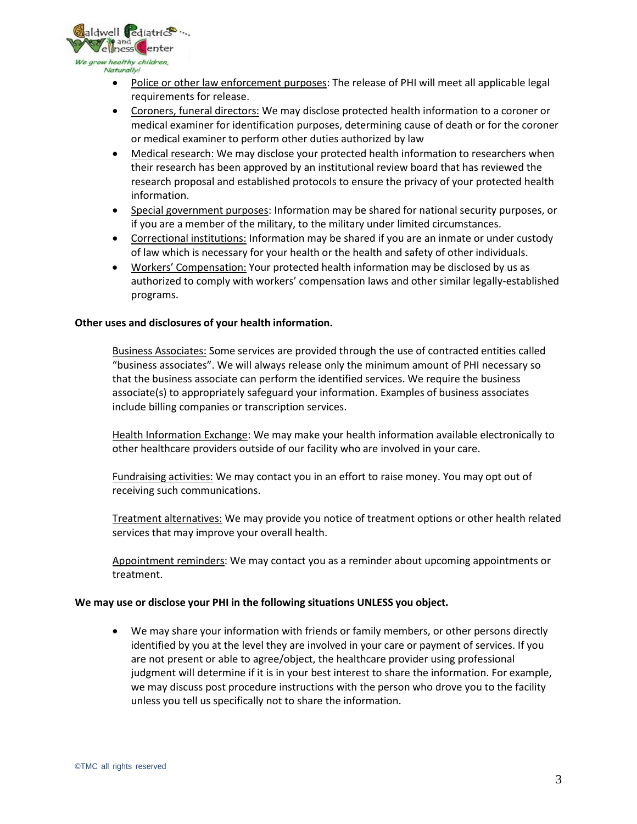

- Police or other law enforcement purposes: The release of PHI will meet all applicable legal requirements for release.
- Coroners, funeral directors: We may disclose protected health information to a coroner or medical examiner for identification purposes, determining cause of death or for the coroner or medical examiner to perform other duties authorized by law
- Medical research: We may disclose your protected health information to researchers when their research has been approved by an institutional review board that has reviewed the research proposal and established protocols to ensure the privacy of your protected health information.
- Special government purposes: Information may be shared for national security purposes, or if you are a member of the military, to the military under limited circumstances.
- Correctional institutions: Information may be shared if you are an inmate or under custody of law which is necessary for your health or the health and safety of other individuals.
- Workers' Compensation: Your protected health information may be disclosed by us as authorized to comply with workers' compensation laws and other similar legally-established programs.

### **Other uses and disclosures of your health information.**

Business Associates: Some services are provided through the use of contracted entities called "business associates". We will always release only the minimum amount of PHI necessary so that the business associate can perform the identified services. We require the business associate(s) to appropriately safeguard your information. Examples of business associates include billing companies or transcription services.

Health Information Exchange: We may make your health information available electronically to other healthcare providers outside of our facility who are involved in your care.

Fundraising activities: We may contact you in an effort to raise money. You may opt out of receiving such communications.

Treatment alternatives: We may provide you notice of treatment options or other health related services that may improve your overall health.

Appointment reminders: We may contact you as a reminder about upcoming appointments or treatment.

### **We may use or disclose your PHI in the following situations UNLESS you object.**

• We may share your information with friends or family members, or other persons directly identified by you at the level they are involved in your care or payment of services. If you are not present or able to agree/object, the healthcare provider using professional judgment will determine if it is in your best interest to share the information. For example, we may discuss post procedure instructions with the person who drove you to the facility unless you tell us specifically not to share the information.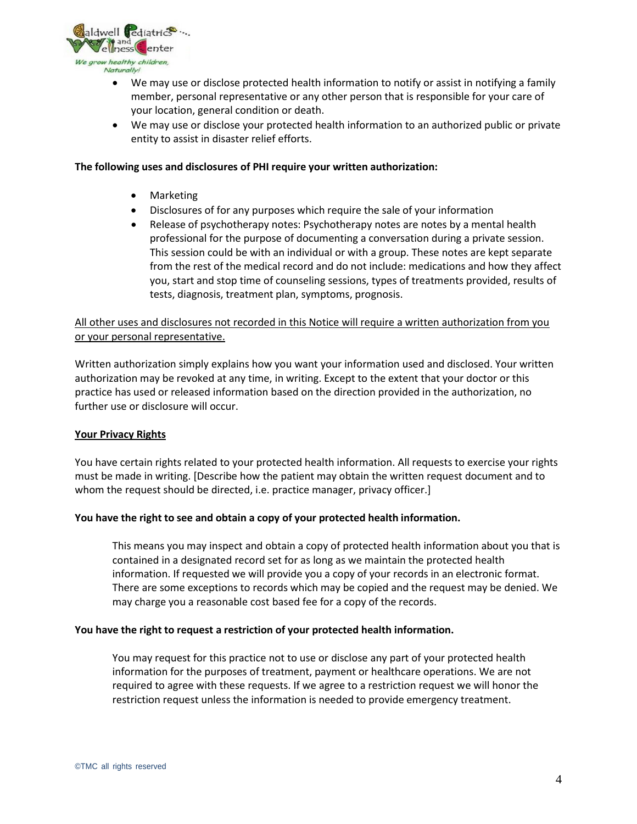

- We may use or disclose protected health information to notify or assist in notifying a family member, personal representative or any other person that is responsible for your care of your location, general condition or death.
- We may use or disclose your protected health information to an authorized public or private entity to assist in disaster relief efforts.

### **The following uses and disclosures of PHI require your written authorization:**

- Marketing
- Disclosures of for any purposes which require the sale of your information
- Release of psychotherapy notes: Psychotherapy notes are notes by a mental health professional for the purpose of documenting a conversation during a private session. This session could be with an individual or with a group. These notes are kept separate from the rest of the medical record and do not include: medications and how they affect you, start and stop time of counseling sessions, types of treatments provided, results of tests, diagnosis, treatment plan, symptoms, prognosis.

# All other uses and disclosures not recorded in this Notice will require a written authorization from you or your personal representative.

Written authorization simply explains how you want your information used and disclosed. Your written authorization may be revoked at any time, in writing. Except to the extent that your doctor or this practice has used or released information based on the direction provided in the authorization, no further use or disclosure will occur.

### **Your Privacy Rights**

You have certain rights related to your protected health information. All requests to exercise your rights must be made in writing. [Describe how the patient may obtain the written request document and to whom the request should be directed, i.e. practice manager, privacy officer.]

### **You have the right to see and obtain a copy of your protected health information.**

This means you may inspect and obtain a copy of protected health information about you that is contained in a designated record set for as long as we maintain the protected health information. If requested we will provide you a copy of your records in an electronic format. There are some exceptions to records which may be copied and the request may be denied. We may charge you a reasonable cost based fee for a copy of the records.

### **You have the right to request a restriction of your protected health information.**

You may request for this practice not to use or disclose any part of your protected health information for the purposes of treatment, payment or healthcare operations. We are not required to agree with these requests. If we agree to a restriction request we will honor the restriction request unless the information is needed to provide emergency treatment.